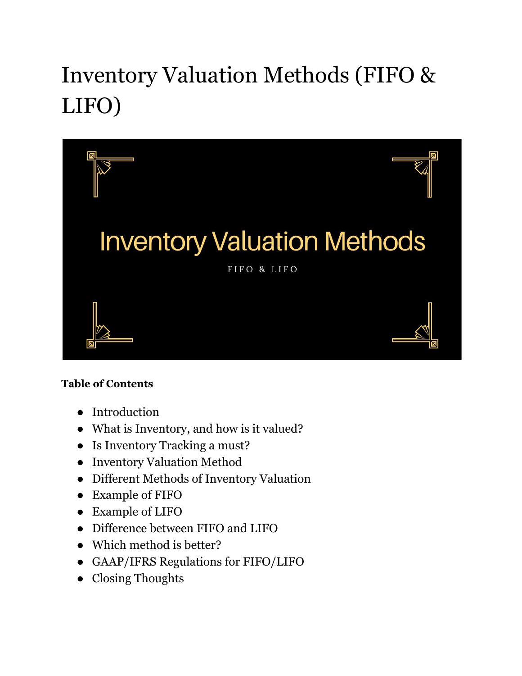# Inventory Valuation Methods (FIFO & LIFO)



#### **Table of Contents**

- Introduction
- What is Inventory, and how is it valued?
- Is Inventory Tracking a must?
- Inventory Valuation Method
- Different Methods of Inventory Valuation
- Example of FIFO
- Example of LIFO
- Difference between FIFO and LIFO
- Which method is better?
- GAAP/IFRS Regulations for FIFO/LIFO
- Closing Thoughts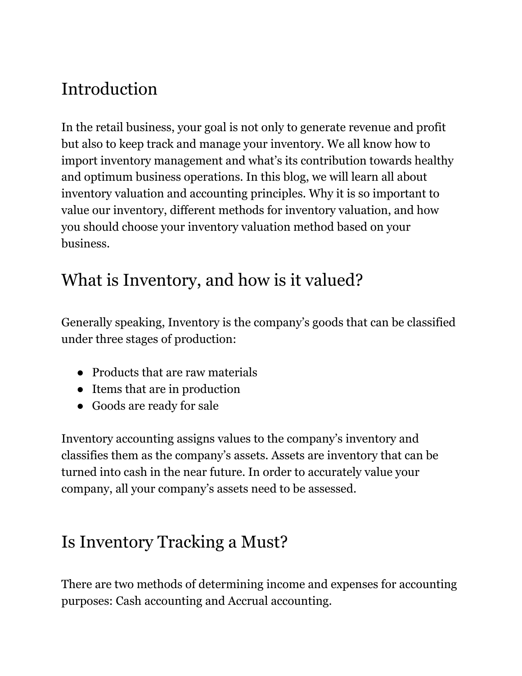# Introduction

In the retail business, your goal is not only to generate revenue and profit but also to keep track and manage your inventory. We all know how to import inventory management and what's its contribution towards healthy and optimum business operations. In this blog, we will learn all about inventory valuation and accounting principles. Why it is so important to value our inventory, different methods for inventory valuation, and how you should choose your inventory valuation method based on your business.

### What is Inventory, and how is it valued?

Generally speaking, Inventory is the company's goods that can be classified under three stages of production:

- Products that are raw materials
- Items that are in production
- Goods are ready for sale

Inventory accounting assigns values to the company's inventory and classifies them as the company's assets. Assets are inventory that can be turned into cash in the near future. In order to accurately value your company, all your company's assets need to be assessed.

### Is Inventory Tracking a Must?

There are two methods of determining income and expenses for accounting purposes: Cash accounting and Accrual accounting.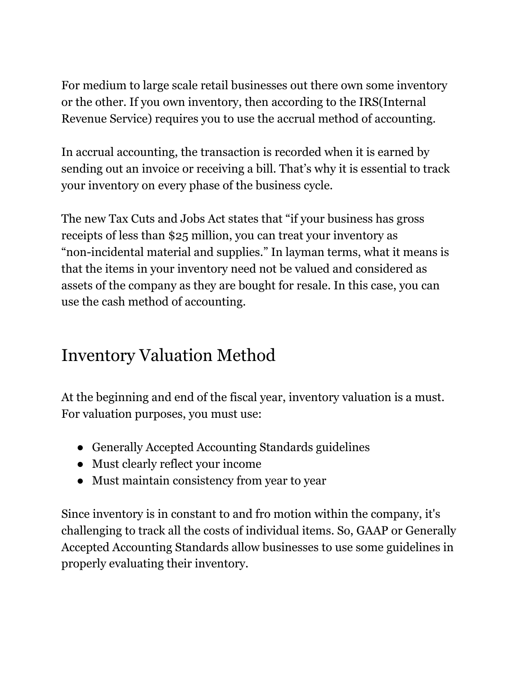For medium to large scale retail businesses out there own some inventory or the other. If you own inventory, then according to the IRS(Internal Revenue Service) requires you to use the accrual method of accounting.

In accrual accounting, the transaction is recorded when it is earned by sending out an invoice or receiving a bill. That's why it is essential to track your inventory on every phase of the business cycle.

The new Tax Cuts and Jobs Act states that "if your business has gross receipts of less than \$25 million, you can treat your inventory as "non-incidental material and supplies." In layman terms, what it means is that the items in your inventory need not be valued and considered as assets of the company as they are bought for resale. In this case, you can use the cash method of accounting.

### Inventory Valuation Method

At the beginning and end of the fiscal year, inventory valuation is a must. For valuation purposes, you must use:

- Generally Accepted Accounting Standards guidelines
- Must clearly reflect your income
- Must maintain consistency from year to year

Since inventory is in constant to and fro motion within the company, it's challenging to track all the costs of individual items. So, GAAP or Generally Accepted Accounting Standards allow businesses to use some guidelines in properly evaluating their inventory.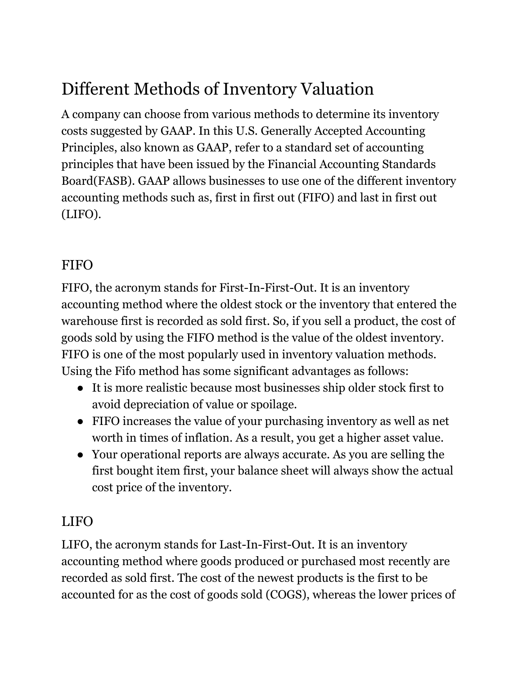# Different Methods of Inventory Valuation

A company can choose from various methods to determine its inventory costs suggested by GAAP. In this U.S. Generally Accepted Accounting Principles, also known as GAAP, refer to a standard set of accounting principles that have been issued by the Financial Accounting Standards Board(FASB). GAAP allows businesses to use one of the different inventory accounting methods such as, first in first out (FIFO) and last in first out (LIFO).

#### **FIFO**

FIFO, the acronym stands for First-In-First-Out. It is an inventory accounting method where the oldest stock or the inventory that entered the warehouse first is recorded as sold first. So, if you sell a product, the cost of goods sold by using the FIFO method is the value of the oldest inventory. FIFO is one of the most popularly used in inventory valuation methods. Using the Fifo method has some significant advantages as follows:

- It is more realistic because most businesses ship older stock first to avoid depreciation of value or spoilage.
- FIFO increases the value of your purchasing inventory as well as net worth in times of inflation. As a result, you get a higher asset value.
- Your operational reports are always accurate. As you are selling the first bought item first, your balance sheet will always show the actual cost price of the inventory.

#### LIFO

LIFO, the acronym stands for Last-In-First-Out. It is an inventory accounting method where goods produced or purchased most recently are recorded as sold first. The cost of the newest products is the first to be accounted for as the cost of goods sold (COGS), whereas the lower prices of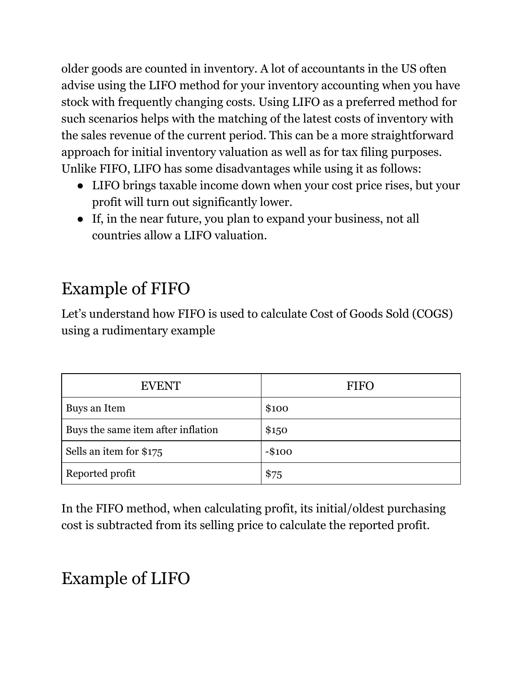older goods are counted in inventory. A lot of accountants in the US often advise using the LIFO method for your inventory accounting when you have stock with frequently changing costs. Using LIFO as a preferred method for such scenarios helps with the matching of the latest costs of inventory with the sales revenue of the current period. This can be a more straightforward approach for initial inventory valuation as well as for tax filing purposes. Unlike FIFO, LIFO has some disadvantages while using it as follows:

- LIFO brings taxable income down when your cost price rises, but your profit will turn out significantly lower.
- If, in the near future, you plan to expand your business, not all countries allow a LIFO valuation.

# Example of FIFO

Let's understand how FIFO is used to calculate Cost of Goods Sold (COGS) using a rudimentary example

| <b>EVENT</b>                       | <b>FIFO</b> |
|------------------------------------|-------------|
| Buys an Item                       | \$100       |
| Buys the same item after inflation | \$150       |
| Sells an item for \$175            | $-$100$     |
| Reported profit                    | \$75        |

In the FIFO method, when calculating profit, its initial/oldest purchasing cost is subtracted from its selling price to calculate the reported profit.

# Example of LIFO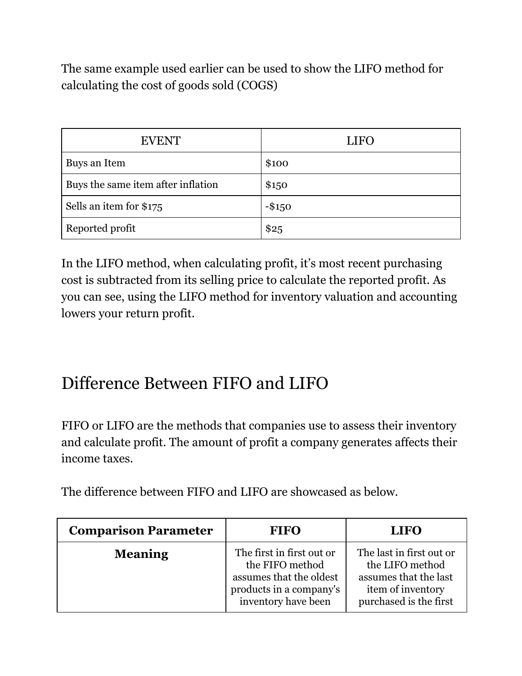The same example used earlier can be used to show the LIFO method for calculating the cost of goods sold (COGS)

| <b>EVENT</b>                       | <b>LIFO</b> |
|------------------------------------|-------------|
| Buys an Item                       | \$100       |
| Buys the same item after inflation | \$150       |
| Sells an item for \$175            | $-$ \$150   |
| Reported profit                    | \$25        |

In the LIFO method, when calculating profit, it's most recent purchasing cost is subtracted from its selling price to calculate the reported profit. As you can see, using the LIFO method for inventory valuation and accounting lowers your return profit.

### Difference Between FIFO and LIFO

FIFO or LIFO are the methods that companies use to assess their inventory and calculate profit. The amount of profit a company generates affects their income taxes.

The difference between FIFO and LIFO are showcased as below.

| <b>Comparison Parameter</b> | <b>FIFO</b>                                                                                                               | <b>LIFO</b>                                                                                                         |
|-----------------------------|---------------------------------------------------------------------------------------------------------------------------|---------------------------------------------------------------------------------------------------------------------|
| <b>Meaning</b>              | The first in first out or<br>the FIFO method<br>assumes that the oldest<br>products in a company's<br>inventory have been | The last in first out or<br>the LIFO method<br>assumes that the last<br>item of inventory<br>purchased is the first |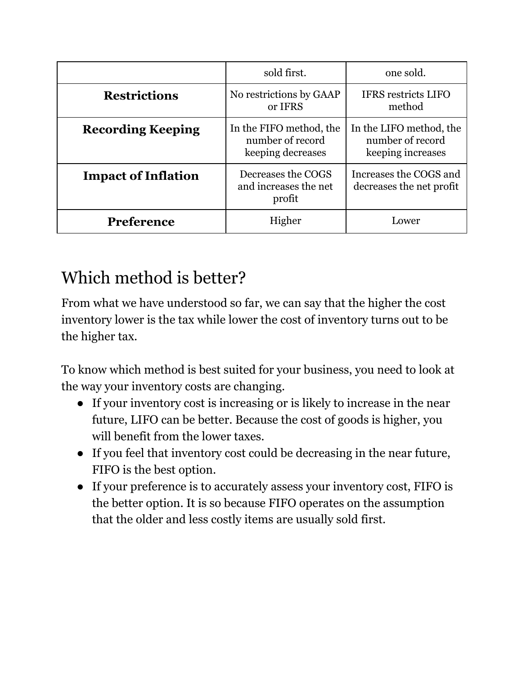|                            | sold first.                                                      | one sold.                                                        |
|----------------------------|------------------------------------------------------------------|------------------------------------------------------------------|
| <b>Restrictions</b>        | No restrictions by GAAP<br>or IFRS                               | <b>IFRS</b> restricts LIFO<br>method                             |
| <b>Recording Keeping</b>   | In the FIFO method, the<br>number of record<br>keeping decreases | In the LIFO method, the<br>number of record<br>keeping increases |
| <b>Impact of Inflation</b> | Decreases the COGS<br>and increases the net<br>profit            | Increases the COGS and<br>decreases the net profit               |
| <b>Preference</b>          | Higher                                                           | Lower                                                            |

# Which method is better?

From what we have understood so far, we can say that the higher the cost inventory lower is the tax while lower the cost of inventory turns out to be the higher tax.

To know which method is best suited for your business, you need to look at the way your inventory costs are changing.

- If your inventory cost is increasing or is likely to increase in the near future, LIFO can be better. Because the cost of goods is higher, you will benefit from the lower taxes.
- If you feel that inventory cost could be decreasing in the near future, FIFO is the best option.
- If your preference is to accurately assess your inventory cost, FIFO is the better option. It is so because FIFO operates on the assumption that the older and less costly items are usually sold first.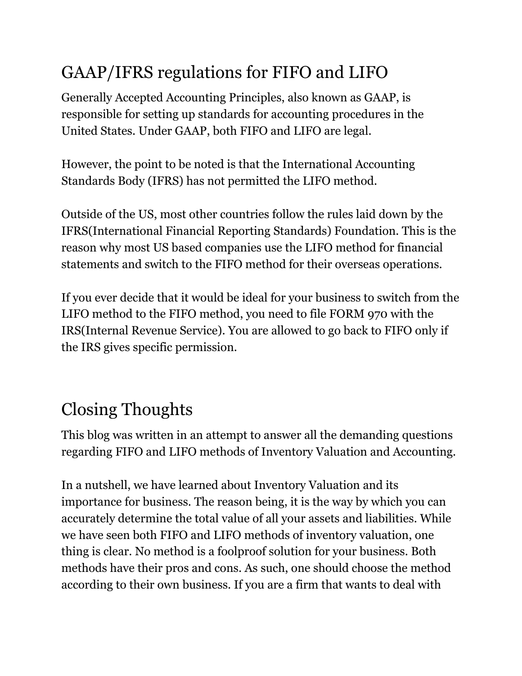# GAAP/IFRS regulations for FIFO and LIFO

Generally Accepted Accounting Principles, also known as GAAP, is responsible for setting up standards for accounting procedures in the United States. Under GAAP, both FIFO and LIFO are legal.

However, the point to be noted is that the International Accounting Standards Body (IFRS) has not permitted the LIFO method.

Outside of the US, most other countries follow the rules laid down by the IFRS(International Financial Reporting Standards) Foundation. This is the reason why most US based companies use the LIFO method for financial statements and switch to the FIFO method for their overseas operations.

If you ever decide that it would be ideal for your business to switch from the LIFO method to the FIFO method, you need to file FORM 970 with the IRS(Internal Revenue Service). You are allowed to go back to FIFO only if the IRS gives specific permission.

# Closing Thoughts

This blog was written in an attempt to answer all the demanding questions regarding FIFO and LIFO methods of Inventory Valuation and Accounting.

In a nutshell, we have learned about Inventory Valuation and its importance for business. The reason being, it is the way by which you can accurately determine the total value of all your assets and liabilities. While we have seen both FIFO and LIFO methods of inventory valuation, one thing is clear. No method is a foolproof solution for your business. Both methods have their pros and cons. As such, one should choose the method according to their own business. If you are a firm that wants to deal with